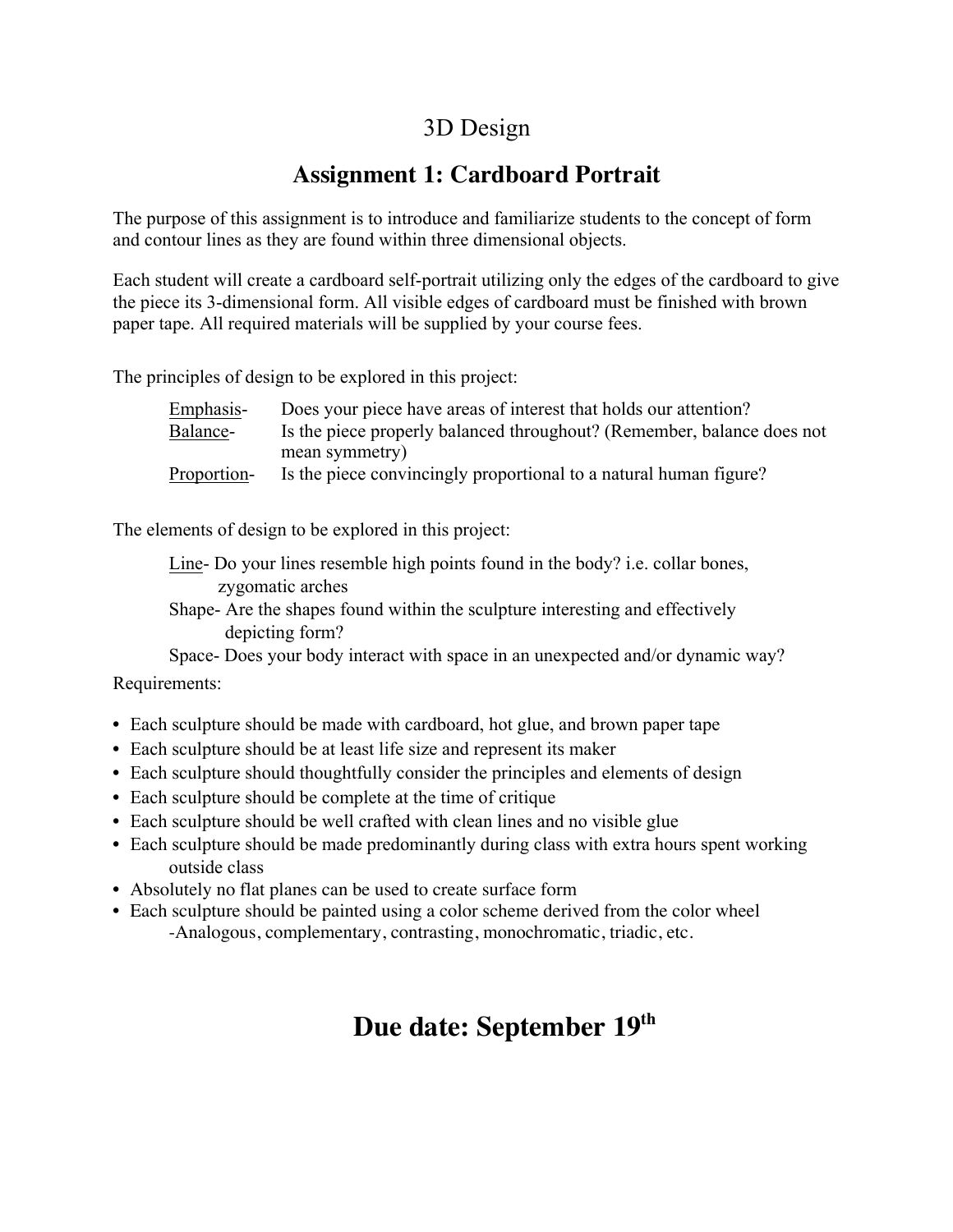## 3D Design

## **Assignment 1: Cardboard Portrait**

The purpose of this assignment is to introduce and familiarize students to the concept of form and contour lines as they are found within three dimensional objects.

Each student will create a cardboard self-portrait utilizing only the edges of the cardboard to give the piece its 3-dimensional form. All visible edges of cardboard must be finished with brown paper tape. All required materials will be supplied by your course fees.

The principles of design to be explored in this project:

| Emphasis-   | Does your piece have areas of interest that holds our attention?       |
|-------------|------------------------------------------------------------------------|
| Balance-    | Is the piece properly balanced throughout? (Remember, balance does not |
|             | mean symmetry)                                                         |
| Proportion- | Is the piece convincingly proportional to a natural human figure?      |

The elements of design to be explored in this project:

Line- Do your lines resemble high points found in the body? i.e. collar bones, zygomatic arches

Shape- Are the shapes found within the sculpture interesting and effectively depicting form?

Space- Does your body interact with space in an unexpected and/or dynamic way?

## Requirements:

- Each sculpture should be made with cardboard, hot glue, and brown paper tape
- Each sculpture should be at least life size and represent its maker
- Each sculpture should thoughtfully consider the principles and elements of design
- Each sculpture should be complete at the time of critique
- Each sculpture should be well crafted with clean lines and no visible glue
- Each sculpture should be made predominantly during class with extra hours spent working outside class
- Absolutely no flat planes can be used to create surface form
- Each sculpture should be painted using a color scheme derived from the color wheel -Analogous, complementary, contrasting, monochromatic, triadic, etc.

## **Due date: September 19th**